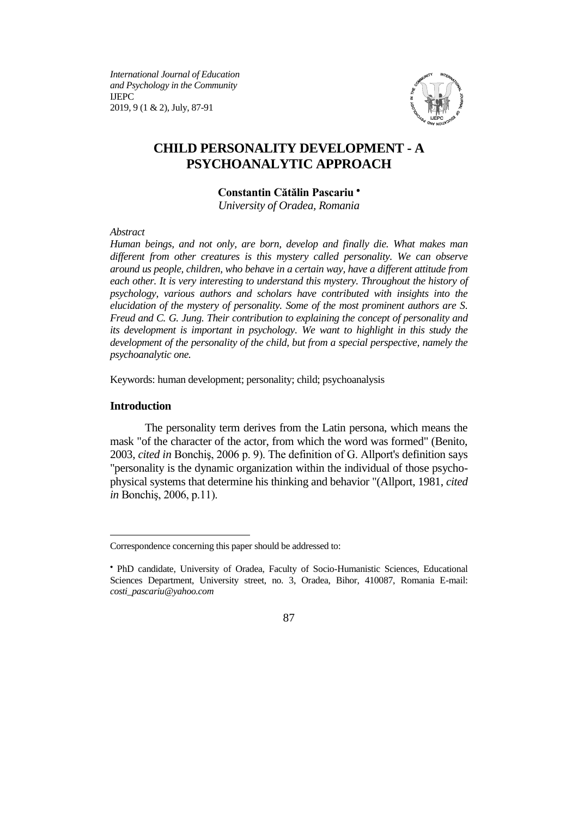*International Journal of Education and Psychology in the Community* IJEPC 2019, 9 (1 & 2), July, 87-91



# **CHILD PERSONALITY DEVELOPMENT - A PSYCHOANALYTIC APPROACH**

### **Constantin Cătălin Pascariu**

*University of Oradea, Romania*

*Abstract*

*Human beings, and not only, are born, develop and finally die. What makes man different from other creatures is this mystery called personality. We can observe around us people, children, who behave in a certain way, have a different attitude from each other. It is very interesting to understand this mystery. Throughout the history of psychology, various authors and scholars have contributed with insights into the elucidation of the mystery of personality. Some of the most prominent authors are S. Freud and C. G. Jung. Their contribution to explaining the concept of personality and its development is important in psychology. We want to highlight in this study the development of the personality of the child, but from a special perspective, namely the psychoanalytic one.*

Keywords: human development; personality; child; psychoanalysis

#### **Introduction**

 $\overline{a}$ 

The personality term derives from the Latin persona, which means the mask "of the character of the actor, from which the word was formed" (Benito, 2003, *cited in* Bonchiş, 2006 p. 9). The definition of G. Allport's definition says "personality is the dynamic organization within the individual of those psychophysical systems that determine his thinking and behavior "(Allport, 1981, *cited in* Bonchiş, 2006, p.11).

Correspondence concerning this paper should be addressed to:

PhD candidate, University of Oradea, Faculty of Socio-Humanistic Sciences, Educational Sciences Department, University street, no. 3, Oradea, Bihor, 410087, Romania E-mail: *costi\_pascariu@yahoo.com*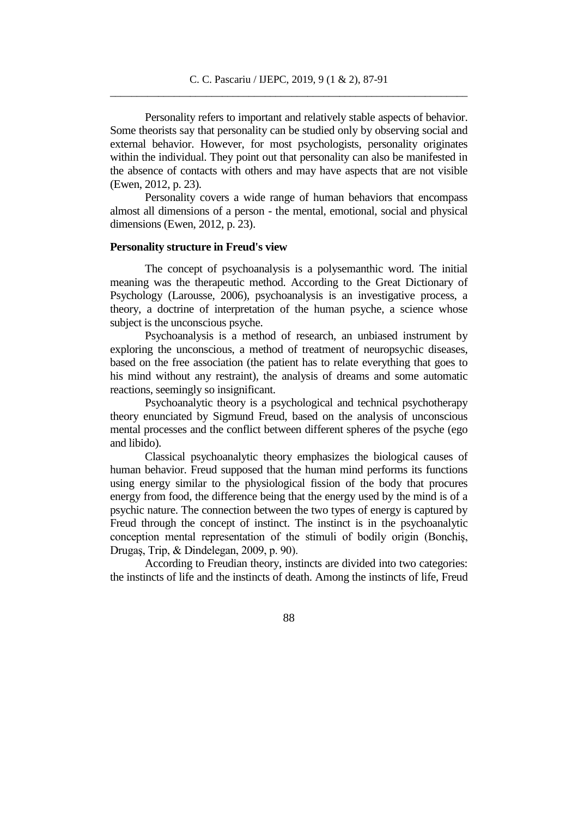Personality refers to important and relatively stable aspects of behavior. Some theorists say that personality can be studied only by observing social and external behavior. However, for most psychologists, personality originates within the individual. They point out that personality can also be manifested in the absence of contacts with others and may have aspects that are not visible (Ewen, 2012, p. 23).

Personality covers a wide range of human behaviors that encompass almost all dimensions of a person - the mental, emotional, social and physical dimensions (Ewen, 2012, p. 23).

#### **Personality structure in Freud's view**

The concept of psychoanalysis is a polysemanthic word. The initial meaning was the therapeutic method. According to the Great Dictionary of Psychology (Larousse, 2006), psychoanalysis is an investigative process, a theory, a doctrine of interpretation of the human psyche, a science whose subject is the unconscious psyche.

Psychoanalysis is a method of research, an unbiased instrument by exploring the unconscious, a method of treatment of neuropsychic diseases, based on the free association (the patient has to relate everything that goes to his mind without any restraint), the analysis of dreams and some automatic reactions, seemingly so insignificant.

Psychoanalytic theory is a psychological and technical psychotherapy theory enunciated by Sigmund Freud, based on the analysis of unconscious mental processes and the conflict between different spheres of the psyche (ego and libido).

Classical psychoanalytic theory emphasizes the biological causes of human behavior. Freud supposed that the human mind performs its functions using energy similar to the physiological fission of the body that procures energy from food, the difference being that the energy used by the mind is of a psychic nature. The connection between the two types of energy is captured by Freud through the concept of instinct. The instinct is in the psychoanalytic conception mental representation of the stimuli of bodily origin (Bonchiş, Drugaş, Trip, & Dindelegan, 2009, p. 90).

According to Freudian theory, instincts are divided into two categories: the instincts of life and the instincts of death. Among the instincts of life, Freud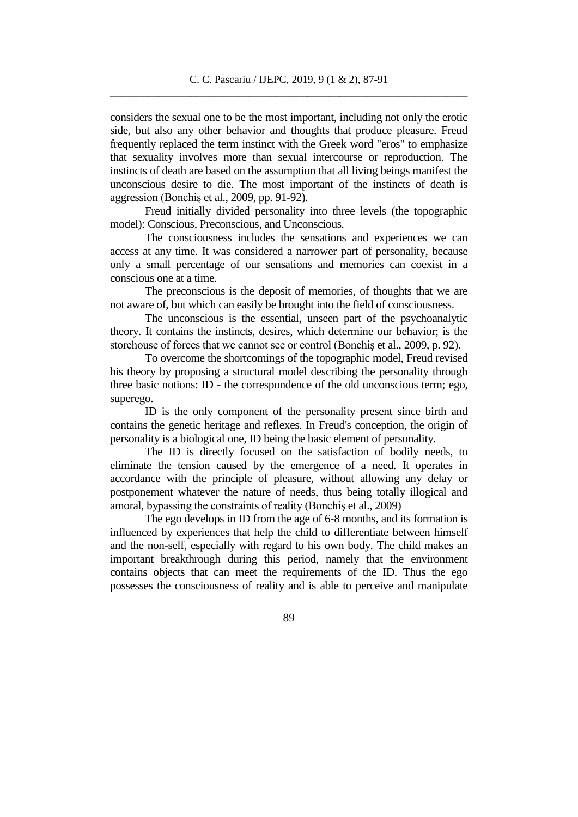considers the sexual one to be the most important, including not only the erotic side, but also any other behavior and thoughts that produce pleasure. Freud frequently replaced the term instinct with the Greek word "eros" to emphasize that sexuality involves more than sexual intercourse or reproduction. The instincts of death are based on the assumption that all living beings manifest the unconscious desire to die. The most important of the instincts of death is aggression (Bonchiş et al., 2009, pp. 91-92).

Freud initially divided personality into three levels (the topographic model): Conscious, Preconscious, and Unconscious.

The consciousness includes the sensations and experiences we can access at any time. It was considered a narrower part of personality, because only a small percentage of our sensations and memories can coexist in a conscious one at a time.

The preconscious is the deposit of memories, of thoughts that we are not aware of, but which can easily be brought into the field of consciousness.

The unconscious is the essential, unseen part of the psychoanalytic theory. It contains the instincts, desires, which determine our behavior; is the storehouse of forces that we cannot see or control (Bonchiş et al., 2009, p. 92).

To overcome the shortcomings of the topographic model, Freud revised his theory by proposing a structural model describing the personality through three basic notions: ID - the correspondence of the old unconscious term; ego, superego.

ID is the only component of the personality present since birth and contains the genetic heritage and reflexes. In Freud's conception, the origin of personality is a biological one, ID being the basic element of personality.

The ID is directly focused on the satisfaction of bodily needs, to eliminate the tension caused by the emergence of a need. It operates in accordance with the principle of pleasure, without allowing any delay or postponement whatever the nature of needs, thus being totally illogical and amoral, bypassing the constraints of reality (Bonchiş et al., 2009)

The ego develops in ID from the age of 6-8 months, and its formation is influenced by experiences that help the child to differentiate between himself and the non-self, especially with regard to his own body. The child makes an important breakthrough during this period, namely that the environment contains objects that can meet the requirements of the ID. Thus the ego possesses the consciousness of reality and is able to perceive and manipulate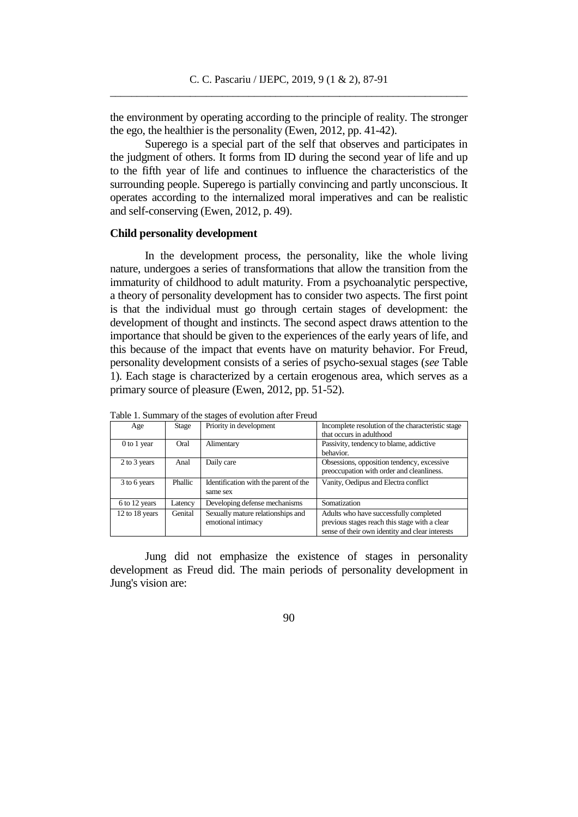the environment by operating according to the principle of reality. The stronger the ego, the healthier is the personality (Ewen, 2012, pp. 41-42).

Superego is a special part of the self that observes and participates in the judgment of others. It forms from ID during the second year of life and up to the fifth year of life and continues to influence the characteristics of the surrounding people. Superego is partially convincing and partly unconscious. It operates according to the internalized moral imperatives and can be realistic and self-conserving (Ewen, 2012, p. 49).

#### **Child personality development**

In the development process, the personality, like the whole living nature, undergoes a series of transformations that allow the transition from the immaturity of childhood to adult maturity. From a psychoanalytic perspective, a theory of personality development has to consider two aspects. The first point is that the individual must go through certain stages of development: the development of thought and instincts. The second aspect draws attention to the importance that should be given to the experiences of the early years of life, and this because of the impact that events have on maturity behavior. For Freud, personality development consists of a series of psycho-sexual stages (*see* Table 1). Each stage is characterized by a certain erogenous area, which serves as a primary source of pleasure (Ewen, 2012, pp. 51-52).

| I avie 1. Summaly of the stages of evolution after Field |         |                                       |                                                   |
|----------------------------------------------------------|---------|---------------------------------------|---------------------------------------------------|
| Age                                                      | Stage   | Priority in development               | Incomplete resolution of the characteristic stage |
|                                                          |         |                                       | that occurs in adulthood                          |
| $0$ to $1$ year                                          | Oral    | Alimentary                            | Passivity, tendency to blame, addictive           |
|                                                          |         |                                       | behavior.                                         |
| 2 to 3 years                                             | Anal    | Daily care                            | Obsessions, opposition tendency, excessive        |
|                                                          |         |                                       | preoccupation with order and cleanliness.         |
| 3 to 6 years                                             | Phallic | Identification with the parent of the | Vanity, Oedipus and Electra conflict              |
|                                                          |         | same sex                              |                                                   |
| 6 to 12 years                                            | Latency | Developing defense mechanisms         | Somatization                                      |
| 12 to 18 years                                           | Genital | Sexually mature relationships and     | Adults who have successfully completed            |
|                                                          |         | emotional intimacy                    | previous stages reach this stage with a clear     |
|                                                          |         |                                       | sense of their own identity and clear interests   |

 $T$  table 1. Summary of the stages of the stages of the stages of the stages of the stages of the stages of the stages of the stages of the stages of the stages of the stages of the stages of the stages of the stages of t

Jung did not emphasize the existence of stages in personality development as Freud did. The main periods of personality development in Jung's vision are: